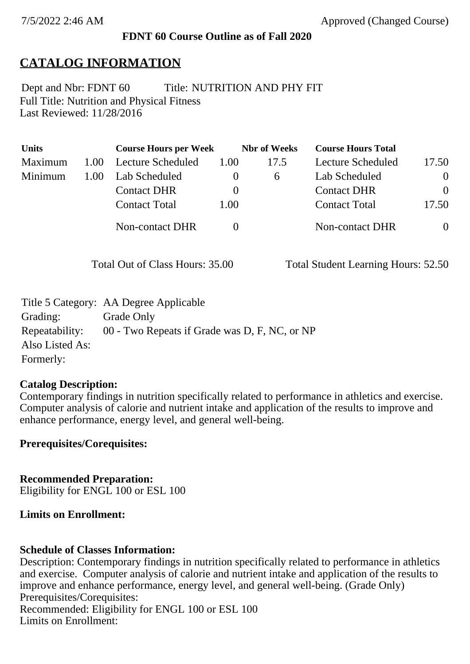### **FDNT 60 Course Outline as of Fall 2020**

## **CATALOG INFORMATION**

Full Title: Nutrition and Physical Fitness Last Reviewed: 11/28/2016 Dept and Nbr: FDNT 60 Title: NUTRITION AND PHY FIT

| <b>Units</b> |      | <b>Course Hours per Week</b> |          | <b>Nbr</b> of Weeks | <b>Course Hours Total</b> |          |
|--------------|------|------------------------------|----------|---------------------|---------------------------|----------|
| Maximum      | 1.00 | <b>Lecture Scheduled</b>     | 1.00     | 17.5                | Lecture Scheduled         | 17.50    |
| Minimum      | 1.00 | Lab Scheduled                | $\theta$ | 6                   | Lab Scheduled             | $\theta$ |
|              |      | <b>Contact DHR</b>           | $\theta$ |                     | <b>Contact DHR</b>        | $\Omega$ |
|              |      | <b>Contact Total</b>         | 1.00     |                     | <b>Contact Total</b>      | 17.50    |
|              |      | Non-contact DHR              |          |                     | <b>Non-contact DHR</b>    | $\theta$ |

Total Out of Class Hours: 35.00 Total Student Learning Hours: 52.50

|                 | Title 5 Category: AA Degree Applicable        |
|-----------------|-----------------------------------------------|
| Grading:        | Grade Only                                    |
| Repeatability:  | 00 - Two Repeats if Grade was D, F, NC, or NP |
| Also Listed As: |                                               |
| Formerly:       |                                               |

#### **Catalog Description:**

Contemporary findings in nutrition specifically related to performance in athletics and exercise. Computer analysis of calorie and nutrient intake and application of the results to improve and enhance performance, energy level, and general well-being.

**Prerequisites/Corequisites:**

**Recommended Preparation:** Eligibility for ENGL 100 or ESL 100

#### **Limits on Enrollment:**

#### **Schedule of Classes Information:**

Description: Contemporary findings in nutrition specifically related to performance in athletics and exercise. Computer analysis of calorie and nutrient intake and application of the results to improve and enhance performance, energy level, and general well-being. (Grade Only) Prerequisites/Corequisites: Recommended: Eligibility for ENGL 100 or ESL 100 Limits on Enrollment: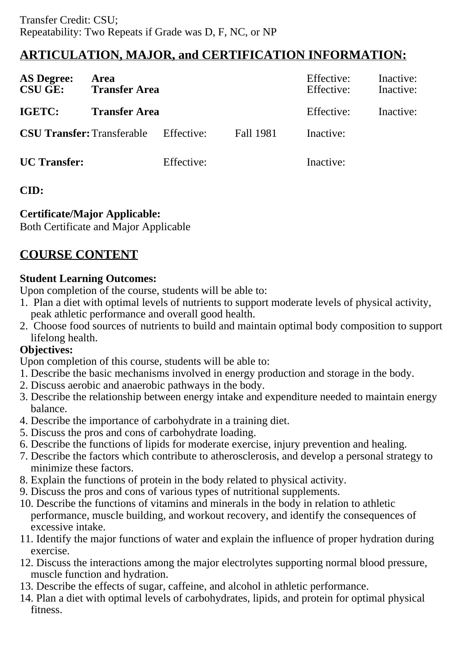# **ARTICULATION, MAJOR, and CERTIFICATION INFORMATION:**

| <b>AS Degree:</b><br><b>CSU GE:</b> | Area<br><b>Transfer Area</b> |            |                  | Effective:<br>Effective: | Inactive:<br>Inactive: |
|-------------------------------------|------------------------------|------------|------------------|--------------------------|------------------------|
| <b>IGETC:</b>                       | <b>Transfer Area</b>         |            |                  | Effective:               | Inactive:              |
| <b>CSU Transfer: Transferable</b>   |                              | Effective: | <b>Fall 1981</b> | Inactive:                |                        |
| <b>UC</b> Transfer:                 |                              | Effective: |                  | Inactive:                |                        |

## **CID:**

## **Certificate/Major Applicable:**

[Both Certificate and Major Applicable](SR_ClassCheck.aspx?CourseKey=FDNT60)

# **COURSE CONTENT**

## **Student Learning Outcomes:**

Upon completion of the course, students will be able to:

- 1. Plan a diet with optimal levels of nutrients to support moderate levels of physical activity, peak athletic performance and overall good health.
- 2. Choose food sources of nutrients to build and maintain optimal body composition to support lifelong health.

## **Objectives:**

Upon completion of this course, students will be able to:

- 1. Describe the basic mechanisms involved in energy production and storage in the body.
- 2. Discuss aerobic and anaerobic pathways in the body.
- 3. Describe the relationship between energy intake and expenditure needed to maintain energy balance.
- 4. Describe the importance of carbohydrate in a training diet.
- 5. Discuss the pros and cons of carbohydrate loading.
- 6. Describe the functions of lipids for moderate exercise, injury prevention and healing.
- 7. Describe the factors which contribute to atherosclerosis, and develop a personal strategy to minimize these factors.
- 8. Explain the functions of protein in the body related to physical activity.
- 9. Discuss the pros and cons of various types of nutritional supplements.
- 10. Describe the functions of vitamins and minerals in the body in relation to athletic performance, muscle building, and workout recovery, and identify the consequences of excessive intake.
- 11. Identify the major functions of water and explain the influence of proper hydration during exercise.
- 12. Discuss the interactions among the major electrolytes supporting normal blood pressure, muscle function and hydration.
- 13. Describe the effects of sugar, caffeine, and alcohol in athletic performance.
- 14. Plan a diet with optimal levels of carbohydrates, lipids, and protein for optimal physical fitness.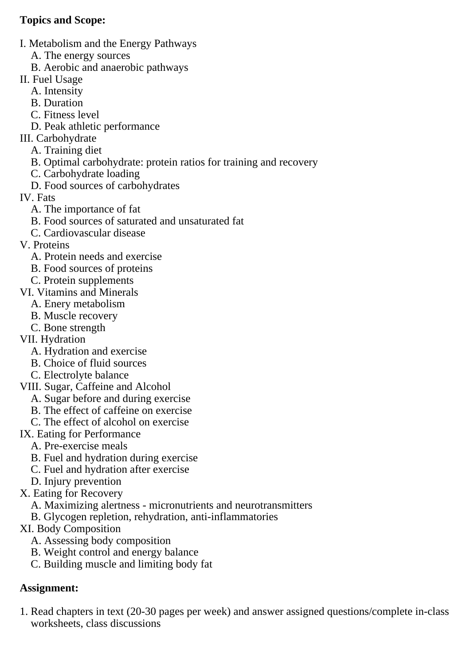## **Topics and Scope:**

- I. Metabolism and the Energy Pathways
	- A. The energy sources
	- B. Aerobic and anaerobic pathways
- II. Fuel Usage
	- A. Intensity
	- B. Duration
	- C. Fitness level
	- D. Peak athletic performance
- III. Carbohydrate
	- A. Training diet
	- B. Optimal carbohydrate: protein ratios for training and recovery
	- C. Carbohydrate loading
	- D. Food sources of carbohydrates
- IV. Fats
	- A. The importance of fat
	- B. Food sources of saturated and unsaturated fat
	- C. Cardiovascular disease
- V. Proteins
	- A. Protein needs and exercise
	- B. Food sources of proteins
	- C. Protein supplements
- VI. Vitamins and Minerals
	- A. Enery metabolism
	- B. Muscle recovery
	- C. Bone strength
- VII. Hydration
	- A. Hydration and exercise
	- B. Choice of fluid sources
	- C. Electrolyte balance
- VIII. Sugar, Caffeine and Alcohol
	- A. Sugar before and during exercise
	- B. The effect of caffeine on exercise
	- C. The effect of alcohol on exercise
- IX. Eating for Performance
	- A. Pre-exercise meals
	- B. Fuel and hydration during exercise
	- C. Fuel and hydration after exercise
	- D. Injury prevention
- X. Eating for Recovery
	- A. Maximizing alertness micronutrients and neurotransmitters
	- B. Glycogen repletion, rehydration, anti-inflammatories
- XI. Body Composition
	- A. Assessing body composition
	- B. Weight control and energy balance
	- C. Building muscle and limiting body fat

# **Assignment:**

1. Read chapters in text (20-30 pages per week) and answer assigned questions/complete in-class worksheets, class discussions